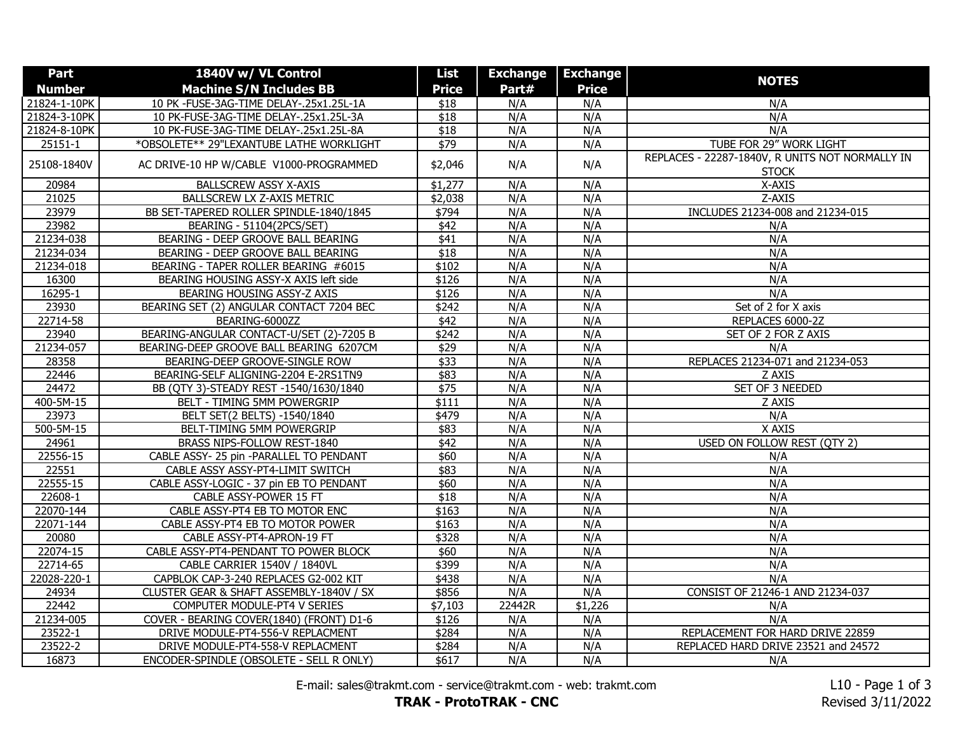| Part          | 1840V w/ VL Control                      | List             | <b>Exchange</b> | <b>Exchange</b> |                                                                 |
|---------------|------------------------------------------|------------------|-----------------|-----------------|-----------------------------------------------------------------|
| <b>Number</b> | <b>Machine S/N Includes BB</b>           | <b>Price</b>     | Part#           | <b>Price</b>    | <b>NOTES</b>                                                    |
| 21824-1-10PK  | 10 PK -FUSE-3AG-TIME DELAY-.25x1.25L-1A  | \$18             | N/A             | N/A             | N/A                                                             |
| 21824-3-10PK  | 10 PK-FUSE-3AG-TIME DELAY-.25x1.25L-3A   | $\sqrt{$18}$     | N/A             | N/A             | N/A                                                             |
| 21824-8-10PK  | 10 PK-FUSE-3AG-TIME DELAY-.25x1.25L-8A   | \$18             | N/A             | N/A             | N/A                                                             |
| $25151 - 1$   | *OBSOLETE** 29"LEXANTUBE LATHE WORKLIGHT | \$79             | N/A             | N/A             | TUBE FOR 29" WORK LIGHT                                         |
| 25108-1840V   | AC DRIVE-10 HP W/CABLE V1000-PROGRAMMED  | \$2,046          | N/A             | N/A             | REPLACES - 22287-1840V, R UNITS NOT NORMALLY IN<br><b>STOCK</b> |
| 20984         | <b>BALLSCREW ASSY X-AXIS</b>             | \$1,277          | N/A             | N/A             | X-AXIS                                                          |
| 21025         | <b>BALLSCREW LX Z-AXIS METRIC</b>        | \$2,038          | N/A             | N/A             | Z-AXIS                                                          |
| 23979         | BB SET-TAPERED ROLLER SPINDLE-1840/1845  | \$794            | N/A             | N/A             | INCLUDES 21234-008 and 21234-015                                |
| 23982         | BEARING - 51104(2PCS/SET)                | \$42             | N/A             | N/A             | N/A                                                             |
| 21234-038     | BEARING - DEEP GROOVE BALL BEARING       | $\overline{$41}$ | N/A             | N/A             | N/A                                                             |
| 21234-034     | BEARING - DEEP GROOVE BALL BEARING       | \$18             | N/A             | N/A             | N/A                                                             |
| 21234-018     | BEARING - TAPER ROLLER BEARING #6015     | \$102            | N/A             | N/A             | N/A                                                             |
| 16300         | BEARING HOUSING ASSY-X AXIS left side    | \$126            | N/A             | N/A             | N/A                                                             |
| 16295-1       | BEARING HOUSING ASSY-Z AXIS              | \$126            | N/A             | N/A             | N/A                                                             |
| 23930         | BEARING SET (2) ANGULAR CONTACT 7204 BEC | $\sqrt{$242}$    | N/A             | N/A             | Set of 2 for X axis                                             |
| 22714-58      | BEARING-6000ZZ                           | $\sqrt{$42}$     | N/A             | N/A             | REPLACES 6000-2Z                                                |
| 23940         | BEARING-ANGULAR CONTACT-U/SET (2)-7205 B | \$242            | N/A             | N/A             | SET OF 2 FOR Z AXIS                                             |
| 21234-057     | BEARING-DEEP GROOVE BALL BEARING 6207CM  | \$29             | N/A             | N/A             | N/A                                                             |
| 28358         | BEARING-DEEP GROOVE-SINGLE ROW           | \$33             | N/A             | N/A             | REPLACES 21234-071 and 21234-053                                |
| 22446         | BEARING-SELF ALIGNING-2204 E-2RS1TN9     | \$83             | N/A             | N/A             | Z AXIS                                                          |
| 24472         | BB (QTY 3)-STEADY REST -1540/1630/1840   | \$75             | N/A             | N/A             | SET OF 3 NEEDED                                                 |
| 400-5M-15     | BELT - TIMING 5MM POWERGRIP              | \$111            | N/A             | N/A             | Z AXIS                                                          |
| 23973         | BELT SET(2 BELTS) -1540/1840             | $\sqrt{$479}$    | N/A             | N/A             | N/A                                                             |
| 500-5M-15     | BELT-TIMING 5MM POWERGRIP                | \$83             | N/A             | N/A             | X AXIS                                                          |
| 24961         | BRASS NIPS-FOLLOW REST-1840              | \$42             | N/A             | N/A             | USED ON FOLLOW REST (QTY 2)                                     |
| 22556-15      | CABLE ASSY- 25 pin -PARALLEL TO PENDANT  | \$60             | N/A             | N/A             | N/A                                                             |
| 22551         | CABLE ASSY ASSY-PT4-LIMIT SWITCH         | \$83             | N/A             | N/A             | N/A                                                             |
| 22555-15      | CABLE ASSY-LOGIC - 37 pin EB TO PENDANT  | \$60             | N/A             | N/A             | N/A                                                             |
| 22608-1       | CABLE ASSY-POWER 15 FT                   | \$18             | N/A             | N/A             | N/A                                                             |
| 22070-144     | CABLE ASSY-PT4 EB TO MOTOR ENC           | \$163            | N/A             | N/A             | N/A                                                             |
| 22071-144     | CABLE ASSY-PT4 EB TO MOTOR POWER         | \$163            | N/A             | N/A             | N/A                                                             |
| 20080         | CABLE ASSY-PT4-APRON-19 FT               | $\sqrt{$328}$    | N/A             | N/A             | N/A                                                             |
| 22074-15      | CABLE ASSY-PT4-PENDANT TO POWER BLOCK    | \$60             | N/A             | N/A             | N/A                                                             |
| 22714-65      | CABLE CARRIER 1540V / 1840VL             | \$399            | N/A             | N/A             | N/A                                                             |
| 22028-220-1   | CAPBLOK CAP-3-240 REPLACES G2-002 KIT    | \$438            | N/A             | N/A             | N/A                                                             |
| 24934         | CLUSTER GEAR & SHAFT ASSEMBLY-1840V / SX | \$856            | N/A             | N/A             | CONSIST OF 21246-1 AND 21234-037                                |
| 22442         | COMPUTER MODULE-PT4 V SERIES             | \$7,103          | 22442R          | \$1,226         | N/A                                                             |
| 21234-005     | COVER - BEARING COVER(1840) (FRONT) D1-6 | \$126            | N/A             | N/A             | N/A                                                             |
| 23522-1       | DRIVE MODULE-PT4-556-V REPLACMENT        | \$284            | N/A             | N/A             | REPLACEMENT FOR HARD DRIVE 22859                                |
| 23522-2       | DRIVE MODULE-PT4-558-V REPLACMENT        | \$284            | N/A             | N/A             | REPLACED HARD DRIVE 23521 and 24572                             |
| 16873         | ENCODER-SPINDLE (OBSOLETE - SELL R ONLY) | \$617            | N/A             | N/A             | N/A                                                             |

E-mail: sales@trakmt.com - service@trakmt.com - web: trakmt.com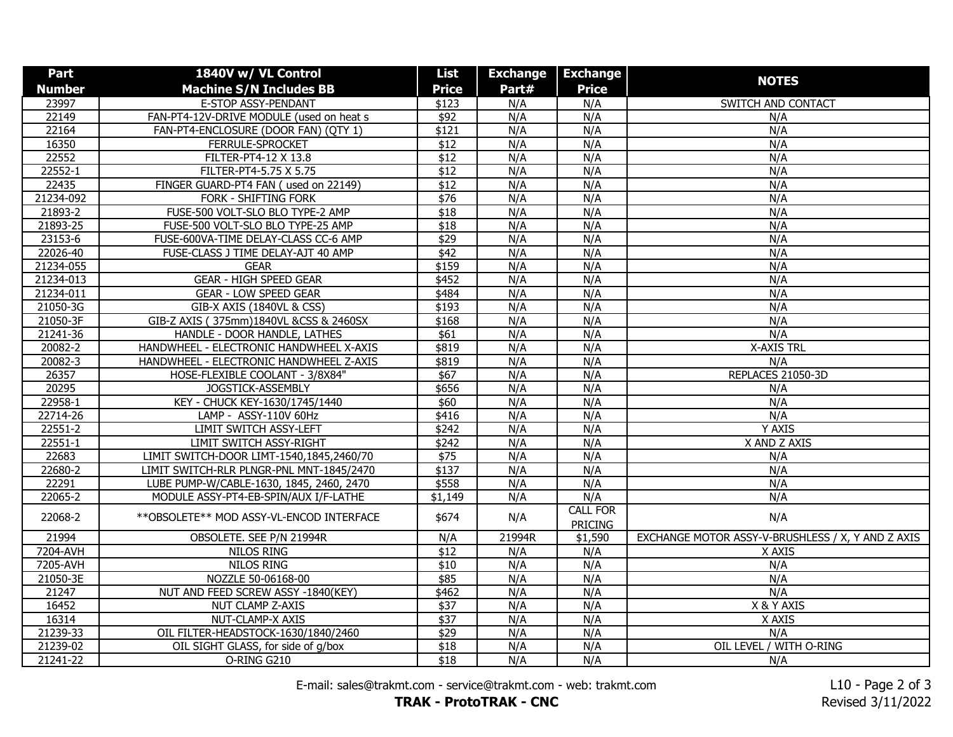| Part        | 1840V w/ VL Control                        | <b>List</b>      | <b>Exchange</b> | <b>Exchange</b>                   |                                                   |
|-------------|--------------------------------------------|------------------|-----------------|-----------------------------------|---------------------------------------------------|
| Number      | <b>Machine S/N Includes BB</b>             | <b>Price</b>     | Part#           | <b>Price</b>                      | <b>NOTES</b>                                      |
| 23997       | E-STOP ASSY-PENDANT                        | \$123            | N/A             | N/A                               | <b>SWITCH AND CONTACT</b>                         |
| 22149       | FAN-PT4-12V-DRIVE MODULE (used on heat s   | $\sqrt{$92}$     | N/A             | N/A                               | N/A                                               |
| 22164       | FAN-PT4-ENCLOSURE (DOOR FAN) (QTY 1)       | \$121            | N/A             | N/A                               | N/A                                               |
| 16350       | FERRULE-SPROCKET                           | $\sqrt{$12}$     | N/A             | N/A                               | N/A                                               |
| 22552       | FILTER-PT4-12 X 13.8                       | $\overline{$12}$ | N/A             | N/A                               | N/A                                               |
| 22552-1     | FILTER-PT4-5.75 X 5.75                     | \$12             | N/A             | N/A                               | N/A                                               |
| 22435       | FINGER GUARD-PT4 FAN (used on 22149)       | $\overline{$12}$ | N/A             | N/A                               | N/A                                               |
| 21234-092   | <b>FORK - SHIFTING FORK</b>                | $\sqrt{$76}$     | N/A             | N/A                               | N/A                                               |
| 21893-2     | FUSE-500 VOLT-SLO BLO TYPE-2 AMP           | \$18             | N/A             | N/A                               | N/A                                               |
| 21893-25    | FUSE-500 VOLT-SLO BLO TYPE-25 AMP          | \$18             | N/A             | N/A                               | N/A                                               |
| 23153-6     | FUSE-600VA-TIME DELAY-CLASS CC-6 AMP       | $\sqrt{$29}$     | N/A             | N/A                               | N/A                                               |
| 22026-40    | FUSE-CLASS J TIME DELAY-AJT 40 AMP         | \$42             | N/A             | N/A                               | N/A                                               |
| 21234-055   | <b>GEAR</b>                                | \$159            | N/A             | N/A                               | N/A                                               |
| 21234-013   | <b>GEAR - HIGH SPEED GEAR</b>              | $\sqrt{$452}$    | N/A             | N/A                               | N/A                                               |
| 21234-011   | <b>GEAR - LOW SPEED GEAR</b>               | \$484            | N/A             | N/A                               | N/A                                               |
| 21050-3G    | GIB-X AXIS (1840VL & CSS)                  | \$193            | N/A             | N/A                               | N/A                                               |
| 21050-3F    | GIB-Z AXIS (375mm)1840VL &CSS & 2460SX     | \$168            | N/A             | N/A                               | N/A                                               |
| 21241-36    | HANDLE - DOOR HANDLE, LATHES               | \$61             | N/A             | N/A                               | N/A                                               |
| 20082-2     | HANDWHEEL - ELECTRONIC HANDWHEEL X-AXIS    | \$819            | N/A             | N/A                               | X-AXIS TRL                                        |
| 20082-3     | HANDWHEEL - ELECTRONIC HANDWHEEL Z-AXIS    | \$819            | N/A             | N/A                               | N/A                                               |
| 26357       | HOSE-FLEXIBLE COOLANT - 3/8X84"            | \$67             | N/A             | N/A                               | REPLACES 21050-3D                                 |
| 20295       | JOGSTICK-ASSEMBLY                          | \$656            | N/A             | N/A                               | N/A                                               |
| 22958-1     | KEY - CHUCK KEY-1630/1745/1440             | \$60             | N/A             | N/A                               | N/A                                               |
| 22714-26    | LAMP - ASSY-110V 60Hz                      | \$416            | N/A             | N/A                               | N/A                                               |
| 22551-2     | LIMIT SWITCH ASSY-LEFT                     | \$242            | N/A             | N/A                               | Y AXIS                                            |
| $22551 - 1$ | <b>LIMIT SWITCH ASSY-RIGHT</b>             | \$242            | N/A             | N/A                               | X AND Z AXIS                                      |
| 22683       | LIMIT SWITCH-DOOR LIMT-1540,1845,2460/70   | $\sqrt{$75}$     | N/A             | N/A                               | N/A                                               |
| 22680-2     | LIMIT SWITCH-RLR PLNGR-PNL MNT-1845/2470   | \$137            | N/A             | N/A                               | N/A                                               |
| 22291       | LUBE PUMP-W/CABLE-1630, 1845, 2460, 2470   | \$558            | N/A             | N/A                               | N/A                                               |
| 22065-2     | MODULE ASSY-PT4-EB-SPIN/AUX I/F-LATHE      | \$1,149          | N/A             | N/A                               | N/A                                               |
| 22068-2     | ** OBSOLETE ** MOD ASSY-VL-ENCOD INTERFACE | \$674            | N/A             | <b>CALL FOR</b><br><b>PRICING</b> | N/A                                               |
| 21994       | OBSOLETE. SEE P/N 21994R                   | N/A              | 21994R          | \$1,590                           | EXCHANGE MOTOR ASSY-V-BRUSHLESS / X, Y AND Z AXIS |
| 7204-AVH    | <b>NILOS RING</b>                          | $\overline{$12}$ | N/A             | N/A                               | X AXIS                                            |
| 7205-AVH    | <b>NILOS RING</b>                          | \$10             | N/A             | N/A                               | N/A                                               |
| 21050-3E    | NOZZLE 50-06168-00                         | \$85             | N/A             | N/A                               | N/A                                               |
| 21247       | NUT AND FEED SCREW ASSY -1840(KEY)         | \$462            | N/A             | N/A                               | N/A                                               |
| 16452       | NUT CLAMP Z-AXIS                           | $\sqrt{$37}$     | N/A             | N/A                               | X & Y AXIS                                        |
| 16314       | NUT-CLAMP-X AXIS                           | \$37             | N/A             | N/A                               | X AXIS                                            |
| 21239-33    | OIL FILTER-HEADSTOCK-1630/1840/2460        | \$29             | N/A             | N/A                               | N/A                                               |
| 21239-02    | OIL SIGHT GLASS, for side of g/box         | \$18             | N/A             | N/A                               | OIL LEVEL / WITH O-RING                           |
| 21241-22    | O-RING G210                                | \$18             | N/A             | N/A                               | N/A                                               |

E-mail: sales@trakmt.com - service@trakmt.com - web: trakmt.com